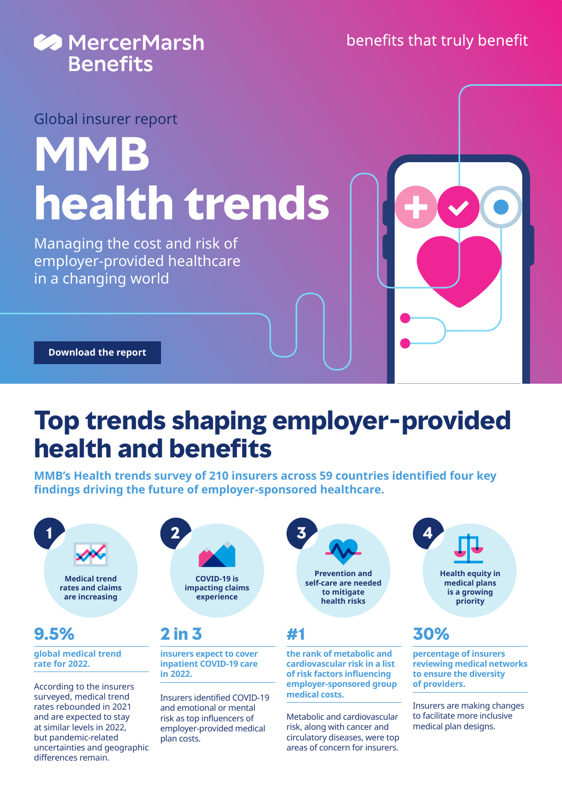

Global insurer report

# **MMB health trends**

Managing the cost and risk of employer-provided healthcare in a changing world

**[Download the report](https://www.mercer.com/our-thinking/health/health-trends-report.html)**

differences remain.

# **Top trends shaping employer-provided health and benefits**

**MMB's Health trends survey of 210 insurers across 59 countries identified four key findings driving the future of employer-sponsored healthcare.**



**Prevention and self-care are needed to mitigate health risks** 

**the rank of metabolic and cardiovascular risk in a list of risk factors influencing employer-sponsored group medical costs.**

Metabolic and cardiovascular risk, along with cancer and circulatory diseases, were top areas of concern for insurers.



### **30%**

**percentage of insurers reviewing medical networks to ensure the diversity of providers.**

Insurers are making changes to facilitate more inclusive medical plan designs.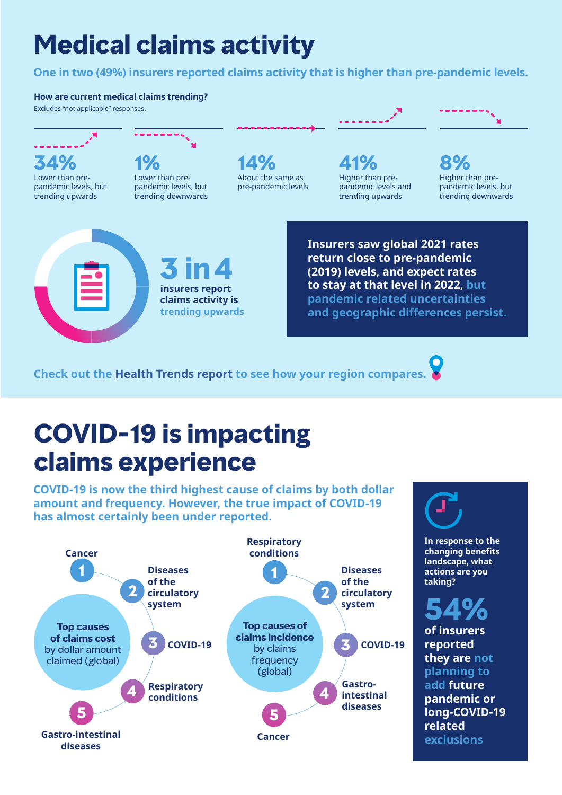# **Medical claims activity**

**One in two (49%) insurers reported claims activity that is higher than pre-pandemic levels.**

#### **How are current medical claims trending?**

Excludes "not applicable" responses.



**insurers report claims activity is trending upwards** **Insurers saw global 2021 rates return close to pre-pandemic (2019) levels, and expect rates to stay at that level in 2022, but pandemic related uncertainties and geographic differences persist.**

Higher than prepandemic levels and trending upwards

**Check out the [Health Trends report](https://www.mercer.com/our-thinking/health/health-trends-report.html) to see how your region compares.**

# **COVID-19 is impacting claims experience**

**COVID-19 is now the third highest cause of claims by both dollar amount and frequency. However, the true impact of COVID-19 has almost certainly been under reported.**





**In response to the changing benefits landscape, what actions are you taking?**

Higher than prepandemic levels, but trending downwards

# **54%**

**of insurers reported they are not planning to add future pandemic or long-COVID-19 related exclusions**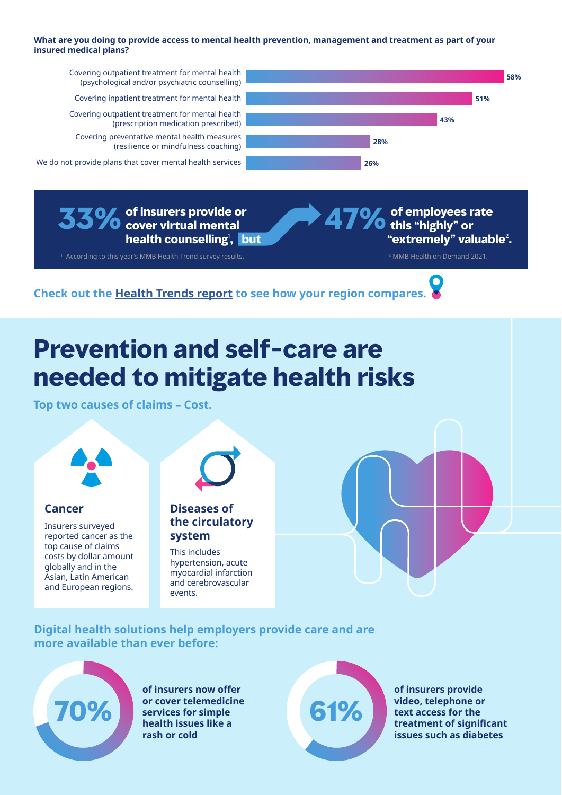#### **What are you doing to provide access to mental health prevention, management and treatment as part of your insured medical plans?**



**33%of insurers provide or cover virtual mental health counselling**<sup>1</sup> **, but**

1 According to this year's MMB Health Trend survey results. 2 MMB Health on Demand 2021.

**47%of employees rate this "highly" or "extremely" valuable**<sup>2</sup> **.** 

**Check out the [Health Trends report](https://www.mercer.com/our-thinking/health/health-trends-report.html) to see how your region compares.**

### **Prevention and self-care are needed to mitigate health risks**

**Top two causes of claims – Cost.**



Insurers surveyed reported cancer as the top cause of claims costs by dollar amount globally and in the Asian, Latin American and European regions.



**Cancer Diseases of the circulatory system**

> This includes hypertension, acute myocardial infarction and cerebrovascular events.

### **Digital health solutions help employers provide care and are more available than ever before:**



**of insurers now offer or cover telemedicine services for simple health issues like a rash or cold**



**of insurers provide video, telephone or text access for the treatment of significant issues such as diabetes**